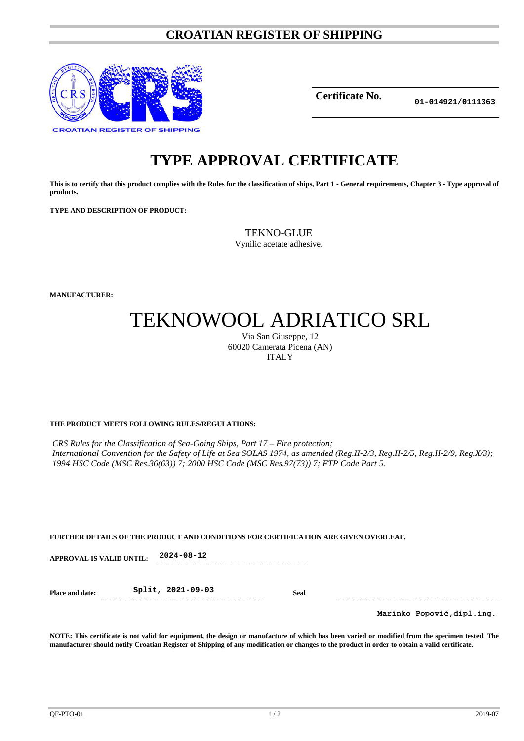### **CROATIAN REGISTER OF SHIPPING**



**Certificate No.**

**01-014921/0111363**

## **TYPE APPROVAL CERTIFICATE**

**This is to certify that this product complies with the Rules for the classification of ships, Part 1 - General requirements, Chapter 3 - Type approval of products.**

**TYPE AND DESCRIPTION OF PRODUCT:** 

TEKNO-GLUE

Vynilic acetate adhesive.

**MANUFACTURER:**

# TEKNOWOOL ADRIATICO SRL

Via San Giuseppe, 12 60020 Camerata Picena (AN) ITALY

#### **THE PRODUCT MEETS FOLLOWING RULES/REGULATIONS:**

*CRS Rules for the Classification of Sea-Going Ships, Part 17 – Fire protection; International Convention for the Safety of Life at Sea SOLAS 1974, as amended (Reg.II-2/3, Reg.II-2/5, Reg.II-2/9, Reg.X/3); 1994 HSC Code (MSC Res.36(63)) 7; 2000 HSC Code (MSC Res.97(73)) 7; FTP Code Part 5.*

#### **FURTHER DETAILS OF THE PRODUCT AND CONDITIONS FOR CERTIFICATION ARE GIVEN OVERLEAF.**

**APPROVAL IS VALID UNTIL: 2024-08-12**

**Place and date: Split, 2021-09-03 Seal**

**Marinko Popović,dipl.ing.**

**NOTE: This certificate is not valid for equipment, the design or manufacture of which has been varied or modified from the specimen tested. The manufacturer should notify Croatian Register of Shipping of any modification or changes to the product in order to obtain a valid certificate.**